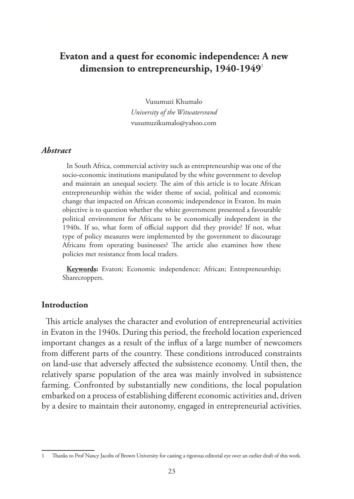# **Evaton and a quest for economic independence: A new dimension to entrepreneurship, 1940-1949**<sup>1</sup>

Vusumuzi Khumalo *University of the Witwatersrand* vusumuzikumalo@yahoo.com

#### *Abstract*

In South Africa, commercial activity such as entrepreneurship was one of the socio-economic institutions manipulated by the white government to develop and maintain an unequal society. The aim of this article is to locate African entrepreneurship within the wider theme of social, political and economic change that impacted on African economic independence in Evaton. Its main objective is to question whether the white government presented a favourable political environment for Africans to be economically independent in the 1940s. If so, what form of official support did they provide? If not, what type of policy measures were implemented by the government to discourage Africans from operating businesses? The article also examines how these policies met resistance from local traders.

**Keywords:** Evaton; Economic independence; African; Entrepreneurship; Sharecroppers.

#### **Introduction**

This article analyses the character and evolution of entrepreneurial activities in Evaton in the 1940s. During this period, the freehold location experienced important changes as a result of the influx of a large number of newcomers from different parts of the country. These conditions introduced constraints on land-use that adversely affected the subsistence economy. Until then, the relatively sparse population of the area was mainly involved in subsistence farming. Confronted by substantially new conditions, the local population embarked on a process of establishing different economic activities and, driven by a desire to maintain their autonomy, engaged in entrepreneurial activities.

<sup>1</sup> Thanks to Prof Nancy Jacobs of Brown University for casting a rigorous editorial eye over an earlier draft of this work.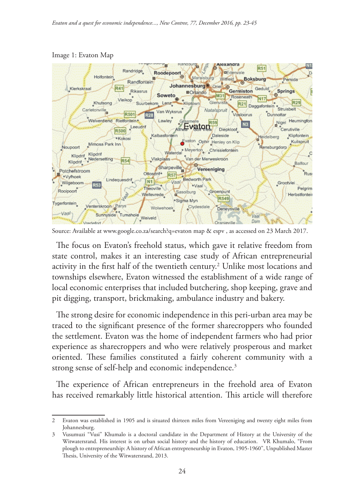

Image 1: Evaton Map

Source: Available at www.google.co.za/search?q=evaton map & espv , as accessed on 23 March 2017.

The focus on Evaton's freehold status, which gave it relative freedom from state control, makes it an interesting case study of African entrepreneurial activity in the first half of the twentieth century.<sup>2</sup> Unlike most locations and townships elsewhere, Evaton witnessed the establishment of a wide range of local economic enterprises that included butchering, shop keeping, grave and pit digging, transport, brickmaking, ambulance industry and bakery.

The strong desire for economic independence in this peri-urban area may be traced to the significant presence of the former sharecroppers who founded the settlement. Evaton was the home of independent farmers who had prior experience as sharecroppers and who were relatively prosperous and market oriented. These families constituted a fairly coherent community with a strong sense of self-help and economic independence.<sup>3</sup>

The experience of African entrepreneurs in the freehold area of Evaton has received remarkably little historical attention. This article will therefore

<sup>2</sup> Evaton was established in 1905 and is situated thirteen miles from Vereeniging and twenty eight miles from Johannesburg.

<sup>3</sup> Vusumuzi "Vusi" Khumalo is a doctoral candidate in the Department of History at the University of the Witwatersrand. His interest is on urban social history and the history of education. . VR Khumalo, "From plough to entrepreneurship: A history of African entrepreneurship in Evaton, 1905-1960", Unpublished Master Thesis, University of the Witwatersrand, 2013.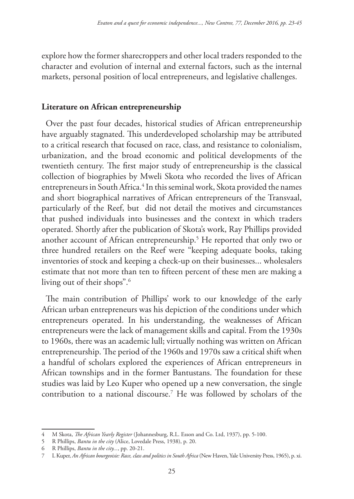explore how the former sharecroppers and other local traders responded to the character and evolution of internal and external factors, such as the internal markets, personal position of local entrepreneurs, and legislative challenges.

### **Literature on African entrepreneurship**

Over the past four decades, historical studies of African entrepreneurship have arguably stagnated. This underdeveloped scholarship may be attributed to a critical research that focused on race, class, and resistance to colonialism, urbanization, and the broad economic and political developments of the twentieth century. The first major study of entrepreneurship is the classical collection of biographies by Mweli Skota who recorded the lives of African entrepreneurs in South Africa.<sup>4</sup> In this seminal work, Skota provided the names and short biographical narratives of African entrepreneurs of the Transvaal, particularly of the Reef, but did not detail the motives and circumstances that pushed individuals into businesses and the context in which traders operated. Shortly after the publication of Skota's work, Ray Phillips provided another account of African entrepreneurship.5 He reported that only two or three hundred retailers on the Reef were "keeping adequate books, taking inventories of stock and keeping a check-up on their businesses... wholesalers estimate that not more than ten to fifteen percent of these men are making a living out of their shops".6

The main contribution of Phillips' work to our knowledge of the early African urban entrepreneurs was his depiction of the conditions under which entrepreneurs operated. In his understanding, the weaknesses of African entrepreneurs were the lack of management skills and capital. From the 1930s to 1960s, there was an academic lull; virtually nothing was written on African entrepreneurship. The period of the 1960s and 1970s saw a critical shift when a handful of scholars explored the experiences of African entrepreneurs in African townships and in the former Bantustans. The foundation for these studies was laid by Leo Kuper who opened up a new conversation, the single contribution to a national discourse.7 He was followed by scholars of the

<sup>4</sup> M Skota, *The African Yearly Register* (Johannesburg, R.L. Esson and Co. Ltd, 1937), pp. 5-100.

<sup>5</sup> R Phillips, *Bantu in the city* (Alice, Lovedale Press, 1938), p. 20.

<sup>6</sup> R Phillips, *Bantu in the city...*, pp. 20-21.

<sup>7</sup> L Kuper, *An African bourgeoisie: Race, class and politics in South Africa* (New Haven, Yale University Press, 1965), p. xi.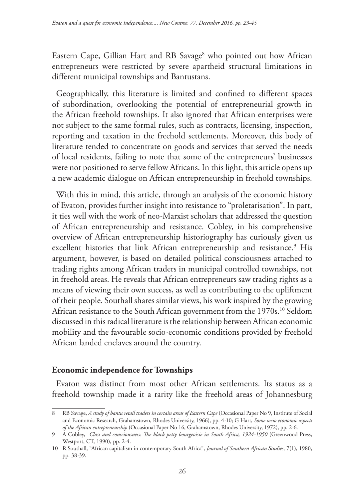Eastern Cape, Gillian Hart and RB Savage<sup>8</sup> who pointed out how African entrepreneurs were restricted by severe apartheid structural limitations in different municipal townships and Bantustans.

Geographically, this literature is limited and confined to different spaces of subordination, overlooking the potential of entrepreneurial growth in the African freehold townships. It also ignored that African enterprises were not subject to the same formal rules, such as contracts, licensing, inspection, reporting and taxation in the freehold settlements. Moreover, this body of literature tended to concentrate on goods and services that served the needs of local residents, failing to note that some of the entrepreneurs' businesses were not positioned to serve fellow Africans. In this light, this article opens up a new academic dialogue on African entrepreneurship in freehold townships.

With this in mind, this article, through an analysis of the economic history of Evaton, provides further insight into resistance to "proletarisation". In part, it ties well with the work of neo-Marxist scholars that addressed the question of African entrepreneurship and resistance. Cobley, in his comprehensive overview of African entrepreneurship historiography has curiously given us excellent histories that link African entrepreneurship and resistance.<sup>9</sup> His argument, however, is based on detailed political consciousness attached to trading rights among African traders in municipal controlled townships, not in freehold areas. He reveals that African entrepreneurs saw trading rights as a means of viewing their own success, as well as contributing to the upliftment of their people. Southall shares similar views, his work inspired by the growing African resistance to the South African government from the 1970s.<sup>10</sup> Seldom discussed in this radical literature is the relationship between African economic mobility and the favourable socio-economic conditions provided by freehold African landed enclaves around the country.

## **Economic independence for Townships**

Evaton was distinct from most other African settlements. Its status as a freehold township made it a rarity like the freehold areas of Johannesburg

<sup>8</sup> RB Savage, *A study of bantu retail traders in certain areas of Eastern Cape* (Occasional Paper No 9, Institute of Social and Economic Research, Grahamstown, Rhodes University, 1966), pp. 4-10; G Hart, *Some socio economic aspects of the African entrepreneurship* (Occasional Paper No 16, Grahamstown, Rhodes University, 1972), pp. 2-6.

<sup>9</sup> A Cobley, *Class and consciousness: The black petty bourgeoisie in South Africa, 1924-1950* (Greenwood Press, Westport, CT, 1990), pp. 2-4.

<sup>10</sup> R Southall, "African capitalism in contemporary South Africa", *Journal of Southern African Studies*, 7(1), 1980, pp. 38-39.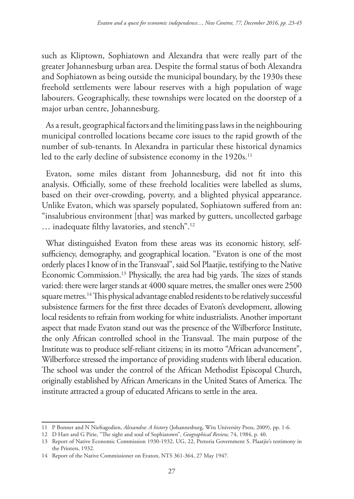such as Kliptown, Sophiatown and Alexandra that were really part of the greater Johannesburg urban area. Despite the formal status of both Alexandra and Sophiatown as being outside the municipal boundary, by the 1930s these freehold settlements were labour reserves with a high population of wage labourers. Geographically, these townships were located on the doorstep of a major urban centre, Johannesburg.

As a result, geographical factors and the limiting pass laws in the neighbouring municipal controlled locations became core issues to the rapid growth of the number of sub-tenants. In Alexandra in particular these historical dynamics led to the early decline of subsistence economy in the 1920s.<sup>11</sup>

Evaton, some miles distant from Johannesburg, did not fit into this analysis. Officially, some of these freehold localities were labelled as slums, based on their over-crowding, poverty, and a blighted physical appearance. Unlike Evaton, which was sparsely populated, Sophiatown suffered from an: "insalubrious environment [that] was marked by gutters, uncollected garbage … inadequate filthy lavatories, and stench".12

What distinguished Evaton from these areas was its economic history, selfsufficiency, demography, and geographical location. "Evaton is one of the most orderly places I know of in the Transvaal", said Sol Plaatjie, testifying to the Native Economic Commission.13 Physically, the area had big yards. The sizes of stands varied: there were larger stands at 4000 square metres, the smaller ones were 2500 square metres.14 This physical advantage enabled residents to be relatively successful subsistence farmers for the first three decades of Evaton's development, allowing local residents to refrain from working for white industrialists. Another important aspect that made Evaton stand out was the presence of the Wilberforce Institute, the only African controlled school in the Transvaal. The main purpose of the Institute was to produce self-reliant citizens; in its motto "African advancement", Wilberforce stressed the importance of providing students with liberal education. The school was under the control of the African Methodist Episcopal Church, originally established by African Americans in the United States of America. The institute attracted a group of educated Africans to settle in the area.

<sup>11</sup> P Bonner and N Nieftagodien, *Alexandra: A history* (Johannesburg, Wits University Press, 2009), pp. 1-6.

<sup>12</sup> D Hart and G Pirie, "The sight and soul of Sophiatown", *Geographical Review,* 74, 1984, p. 40.

<sup>13</sup> Report of Native Economic Commission 1930-1932, UG, 22, Pretoria Government S. Plaatjie's testimony in the Printers, 1932.

<sup>14</sup> Report of the Native Commissioner on Evaton, NTS 361-364, 27 May 1947.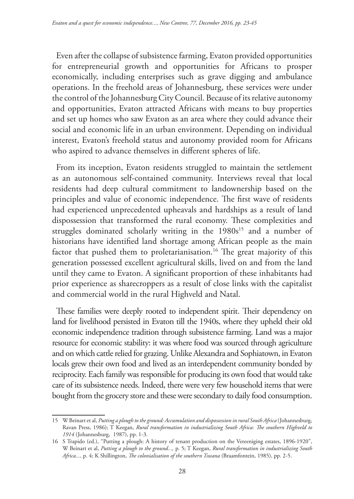Even after the collapse of subsistence farming, Evaton provided opportunities for entrepreneurial growth and opportunities for Africans to prosper economically, including enterprises such as grave digging and ambulance operations. In the freehold areas of Johannesburg, these services were under the control of the Johannesburg City Council. Because of its relative autonomy and opportunities, Evaton attracted Africans with means to buy properties and set up homes who saw Evaton as an area where they could advance their social and economic life in an urban environment. Depending on individual interest, Evaton's freehold status and autonomy provided room for Africans who aspired to advance themselves in different spheres of life.

From its inception, Evaton residents struggled to maintain the settlement as an autonomous self-contained community. Interviews reveal that local residents had deep cultural commitment to landownership based on the principles and value of economic independence. The first wave of residents had experienced unprecedented upheavals and hardships as a result of land dispossession that transformed the rural economy. These complexities and struggles dominated scholarly writing in the 1980s<sup>15</sup> and a number of historians have identified land shortage among African people as the main factor that pushed them to proletarianisation.<sup>16</sup> The great majority of this generation possessed excellent agricultural skills, lived on and from the land until they came to Evaton. A significant proportion of these inhabitants had prior experience as sharecroppers as a result of close links with the capitalist and commercial world in the rural Highveld and Natal.

These families were deeply rooted to independent spirit. Their dependency on land for livelihood persisted in Evaton till the 1940s, where they upheld their old economic independence tradition through subsistence farming. Land was a major resource for economic stability: it was where food was sourced through agriculture and on which cattle relied for grazing. Unlike Alexandra and Sophiatown, in Evaton locals grew their own food and lived as an interdependent community bonded by reciprocity. Each family was responsible for producing its own food that would take care of its subsistence needs. Indeed, there were very few household items that were bought from the grocery store and these were secondary to daily food consumption.

<sup>15</sup> W Beinart et al, *Putting a plough to the ground: Accumulation and dispossession in rural South Africa* (Johannesburg, Ravan Press, 1986); T Keegan, *Rural transformation in industrializing South Africa: The southern Highveld to 1914* (Johannesburg, 1987), pp. 1-3.

<sup>16</sup> S Trapido (ed.), "Putting a plough: A history of tenant production on the Vereeniging estates, 1896-1920", W Beinart et al, *Putting a plough to the ground...,* p. 5; T Keegan, *Rural transformation in industrializing South Africa...,* p. 4; K Shillington, *The colonialisation of the southern Tswana* (Braamfontein, 1985), pp. 2-5.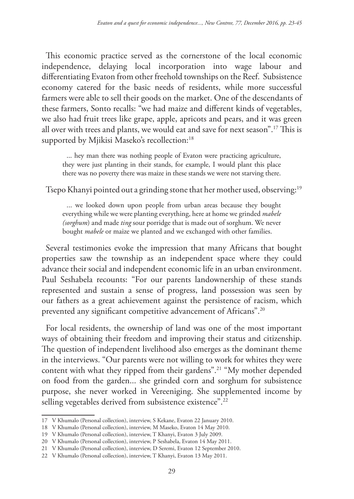This economic practice served as the cornerstone of the local economic independence, delaying local incorporation into wage labour and differentiating Evaton from other freehold townships on the Reef. Subsistence economy catered for the basic needs of residents, while more successful farmers were able to sell their goods on the market. One of the descendants of these farmers, Sonto recalls: "we had maize and different kinds of vegetables, we also had fruit trees like grape, apple, apricots and pears, and it was green all over with trees and plants, we would eat and save for next season".17 This is supported by Mjikisi Maseko's recollection:<sup>18</sup>

... hey man there was nothing people of Evaton were practicing agriculture, they were just planting in their stands, for example, I would plant this place there was no poverty there was maize in these stands we were not starving there.

Tsepo Khanyi pointed out a grinding stone that her mother used, observing:19

... we looked down upon people from urban areas because they bought everything while we were planting everything, here at home we grinded *mabele (sorghum*) and made *ting* sour porridge that is made out of sorghum. We never bought *mabele* or maize we planted and we exchanged with other families.

Several testimonies evoke the impression that many Africans that bought properties saw the township as an independent space where they could advance their social and independent economic life in an urban environment. Paul Seshabela recounts: "For our parents landownership of these stands represented and sustain a sense of progress, land possession was seen by our fathers as a great achievement against the persistence of racism, which prevented any significant competitive advancement of Africans".20

For local residents, the ownership of land was one of the most important ways of obtaining their freedom and improving their status and citizenship. The question of independent livelihood also emerges as the dominant theme in the interviews. "Our parents were not willing to work for whites they were content with what they ripped from their gardens".21 "My mother depended on food from the garden... she grinded corn and sorghum for subsistence purpose, she never worked in Vereeniging. She supplemented income by selling vegetables derived from subsistence existence".<sup>22</sup>

<sup>17</sup> V Khumalo (Personal collection), interview, S Kekane, Evaton 22 January 2010.

<sup>18</sup> V Khumalo (Personal collection), interview, M Maseko, Evaton 14 May 2010.

<sup>19</sup> V Khumalo (Personal collection), interview, T Khanyi, Evaton 3 July 2009.

<sup>20</sup> V Khumalo (Personal collection), interview, P Seshabela, Evaton 14 May 2011.

<sup>21</sup> V Khumalo (Personal collection), interview, D Seremi, Evaton 12 September 2010.

<sup>22</sup> V Khumalo (Personal collection), interview, T Khanyi, Evaton 13 May 2011.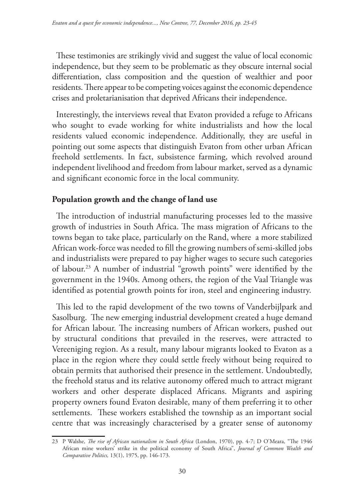These testimonies are strikingly vivid and suggest the value of local economic independence, but they seem to be problematic as they obscure internal social differentiation, class composition and the question of wealthier and poor residents. There appear to be competing voices against the economic dependence crises and proletarianisation that deprived Africans their independence.

Interestingly, the interviews reveal that Evaton provided a refuge to Africans who sought to evade working for white industrialists and how the local residents valued economic independence. Additionally, they are useful in pointing out some aspects that distinguish Evaton from other urban African freehold settlements. In fact, subsistence farming, which revolved around independent livelihood and freedom from labour market, served as a dynamic and significant economic force in the local community.

## **Population growth and the change of land use**

The introduction of industrial manufacturing processes led to the massive growth of industries in South Africa. The mass migration of Africans to the towns began to take place, particularly on the Rand, where a more stabilized African work-force was needed to fill the growing numbers of semi-skilled jobs and industrialists were prepared to pay higher wages to secure such categories of labour.23 A number of industrial "growth points" were identified by the government in the 1940s. Among others, the region of the Vaal Triangle was identified as potential growth points for iron, steel and engineering industry.

This led to the rapid development of the two towns of Vanderbijlpark and Sasolburg. The new emerging industrial development created a huge demand for African labour. The increasing numbers of African workers, pushed out by structural conditions that prevailed in the reserves, were attracted to Vereeniging region. As a result, many labour migrants looked to Evaton as a place in the region where they could settle freely without being required to obtain permits that authorised their presence in the settlement. Undoubtedly, the freehold status and its relative autonomy offered much to attract migrant workers and other desperate displaced Africans. Migrants and aspiring property owners found Evaton desirable, many of them preferring it to other settlements. These workers established the township as an important social centre that was increasingly characterised by a greater sense of autonomy

<sup>23</sup> P Walshe, *The rise of African nationalism in South Africa* (London, 1970), pp. 4-7; D O'Meara, "The 1946 African mine workers' strike in the political economy of South Africa", *Journal of Common Wealth and Comparative Politics,* 13(1), 1975, pp. 146-173.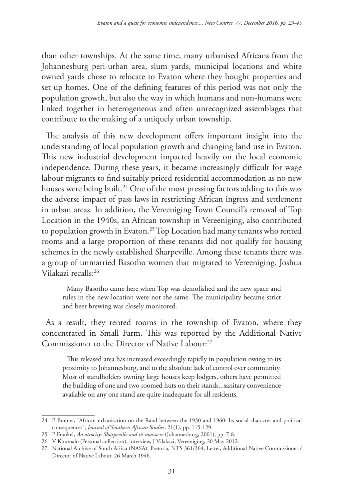than other townships. At the same time, many urbanised Africans from the Johannesburg peri-urban area, slum yards, municipal locations and white owned yards chose to relocate to Evaton where they bought properties and set up homes. One of the defining features of this period was not only the population growth, but also the way in which humans and non-humans were linked together in heterogeneous and often unrecognized assemblages that contribute to the making of a uniquely urban township.

The analysis of this new development offers important insight into the understanding of local population growth and changing land use in Evaton. This new industrial development impacted heavily on the local economic independence. During these years, it became increasingly difficult for wage labour migrants to find suitably priced residential accommodation as no new houses were being built.<sup>24</sup> One of the most pressing factors adding to this was the adverse impact of pass laws in restricting African ingress and settlement in urban areas. In addition, the Vereeniging Town Council's removal of Top Location in the 1940s, an African township in Vereeniging, also contributed to population growth in Evaton.<sup>25</sup> Top Location had many tenants who rented rooms and a large proportion of these tenants did not qualify for housing schemes in the newly established Sharpeville. Among these tenants there was a group of unmarried Basotho women that migrated to Vereeniging. Joshua Vilakazi recalls:26

Many Basotho came here when Top was demolished and the new space and rules in the new location were not the same. The municipality became strict and beer brewing was closely monitored.

As a result, they rented rooms in the township of Evaton, where they concentrated in Small Farm. This was reported by the Additional Native Commissioner to the Director of Native Labour:27

This released area has increased exceedingly rapidly in population owing to its proximity to Johannesburg, and to the absolute lack of control over community. Most of standholders owning large houses keep lodgers, others have permitted the building of one and two roomed huts on their stands...sanitary convenience available on any one stand are quite inadequate for all residents.

<sup>24</sup> P Bonner, "African urbanisation on the Rand between the 1930 and 1960: Its social character and political consequences", *Journal of Southern African Studies*, 21(1), pp. 115-129.

<sup>25</sup> P Frankel, *An atrocity: Sharpeville and its massacre* (Johannesburg, 2001), pp. 7-8.

<sup>26</sup> V Khumalo (Personal collection), interview, J Vilakazi, Vereeniging, 20 May 2012.

<sup>27</sup> National Archive of South Africa (NASA), Pretoria, NTS 361/364, Letter, Additional Native Commissioner / Director of Native Labour, 26 March 1946.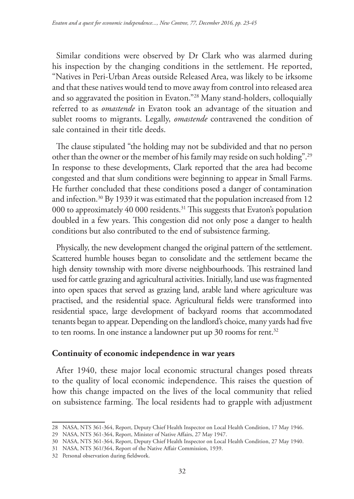Similar conditions were observed by Dr Clark who was alarmed during his inspection by the changing conditions in the settlement. He reported, "Natives in Peri-Urban Areas outside Released Area, was likely to be irksome and that these natives would tend to move away from control into released area and so aggravated the position in Evaton."28 Many stand-holders, colloquially referred to as *omastende* in Evaton took an advantage of the situation and sublet rooms to migrants. Legally, *omastende* contravened the condition of sale contained in their title deeds.

The clause stipulated "the holding may not be subdivided and that no person other than the owner or the member of his family may reside on such holding".29 In response to these developments, Clark reported that the area had become congested and that slum conditions were beginning to appear in Small Farms. He further concluded that these conditions posed a danger of contamination and infection.<sup>30</sup> By 1939 it was estimated that the population increased from 12 000 to approximately 40 000 residents.<sup>31</sup> This suggests that Evaton's population doubled in a few years. This congestion did not only pose a danger to health conditions but also contributed to the end of subsistence farming.

Physically, the new development changed the original pattern of the settlement. Scattered humble houses began to consolidate and the settlement became the high density township with more diverse neighbourhoods. This restrained land used for cattle grazing and agricultural activities. Initially, land use was fragmented into open spaces that served as grazing land, arable land where agriculture was practised, and the residential space. Agricultural fields were transformed into residential space, large development of backyard rooms that accommodated tenants began to appear. Depending on the landlord's choice, many yards had five to ten rooms. In one instance a landowner put up 30 rooms for rent.<sup>32</sup>

#### **Continuity of economic independence in war years**

After 1940, these major local economic structural changes posed threats to the quality of local economic independence. This raises the question of how this change impacted on the lives of the local community that relied on subsistence farming. The local residents had to grapple with adjustment

<sup>28</sup> NASA, NTS 361-364, Report, Deputy Chief Health Inspector on Local Health Condition, 17 May 1946.

<sup>29</sup> NASA, NTS 361-364, Report, Minister of Native Affairs, 27 May 1947.

<sup>30</sup> NASA, NTS 361-364, Report, Deputy Chief Health Inspector on Local Health Condition, 27 May 1940.

<sup>31</sup> NASA, NTS 361/364, Report of the Native Affair Commission, 1939.

<sup>32</sup> Personal observation during fieldwork.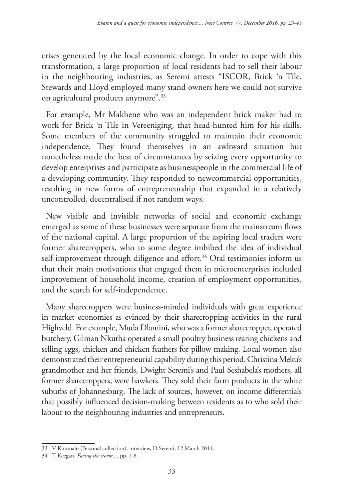crises generated by the local economic change. In order to cope with this transformation, a large proportion of local residents had to sell their labour in the neighbouring industries, as Seremi attests "ISCOR, Brick 'n Tile, Stewards and Lloyd employed many stand owners here we could not survive on agricultural products anymore".33

For example, Mr Makhene who was an independent brick maker had to work for Brick 'n Tile in Vereeniging, that head-hunted him for his skills. Some members of the community struggled to maintain their economic independence. They found themselves in an awkward situation but nonetheless made the best of circumstances by seizing every opportunity to develop enterprises and participate as businesspeople in the commercial life of a developing community. They responded to newcommercial opportunities, resulting in new forms of entrepreneurship that expanded in a relatively uncontrolled, decentralised if not random ways.

New visible and invisible networks of social and economic exchange emerged as some of these businesses were separate from the mainstream flows of the national capital. A large proportion of the aspiring local traders were former sharecroppers, who to some degree imbibed the idea of individual self-improvement through diligence and effort.<sup>34</sup> Oral testimonies inform us that their main motivations that engaged them in microenterprises included improvement of household income, creation of employment opportunities, and the search for self-independence.

Many sharecroppers were business-minded individuals with great experience in market economies as evinced by their sharecropping activities in the rural Highveld. For example, Muda Dlamini, who was a former sharecropper, operated butchery. Gilman Nkutha operated a small poultry business rearing chickens and selling eggs, chicken and chicken feathers for pillow making. Local women also demonstrated their entrepreneurial capability during this period. Christina Meku's grandmother and her friends, Dwight Seremi's and Paul Seshabela's mothers, all former sharecroppers, were hawkers. They sold their farm products in the white suburbs of Johannesburg. The lack of sources, however, on income differentials that possibly influenced decision-making between residents as to who sold their labour to the neighbouring industries and entrepreneurs.

<sup>33</sup> V Khumalo (Personal collection), interview, D Seremi, 12 March 2011.

<sup>34</sup> T Keegan, *Facing the storm...,* pp. 2-8.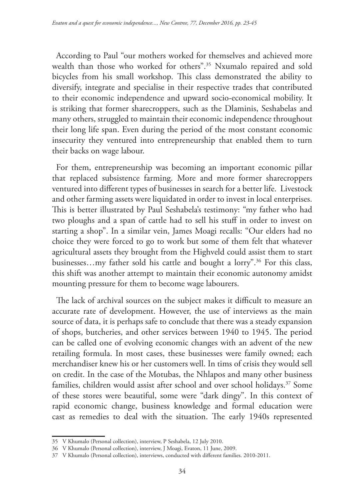According to Paul "our mothers worked for themselves and achieved more wealth than those who worked for others".35 Nxumalo repaired and sold bicycles from his small workshop. This class demonstrated the ability to diversify, integrate and specialise in their respective trades that contributed to their economic independence and upward socio-economical mobility. It is striking that former sharecroppers, such as the Dlaminis, Seshabelas and many others, struggled to maintain their economic independence throughout their long life span. Even during the period of the most constant economic insecurity they ventured into entrepreneurship that enabled them to turn their backs on wage labour.

For them, entrepreneurship was becoming an important economic pillar that replaced subsistence farming. More and more former sharecroppers ventured into different types of businesses in search for a better life. Livestock and other farming assets were liquidated in order to invest in local enterprises. This is better illustrated by Paul Seshabela's testimony: "my father who had two ploughs and a span of cattle had to sell his stuff in order to invest on starting a shop". In a similar vein, James Moagi recalls: "Our elders had no choice they were forced to go to work but some of them felt that whatever agricultural assets they brought from the Highveld could assist them to start businesses...my father sold his cattle and bought a lorry".<sup>36</sup> For this class, this shift was another attempt to maintain their economic autonomy amidst mounting pressure for them to become wage labourers.

The lack of archival sources on the subject makes it difficult to measure an accurate rate of development. However, the use of interviews as the main source of data, it is perhaps safe to conclude that there was a steady expansion of shops, butcheries, and other services between 1940 to 1945. The period can be called one of evolving economic changes with an advent of the new retailing formula. In most cases, these businesses were family owned; each merchandiser knew his or her customers well. In tims of crisis they would sell on credit. In the case of the Motubas, the Nhlapos and many other business families, children would assist after school and over school holidays.<sup>37</sup> Some of these stores were beautiful, some were "dark dingy". In this context of rapid economic change, business knowledge and formal education were cast as remedies to deal with the situation. The early 1940s represented

<sup>35</sup> V Khumalo (Personal collection), interview, P Seshabela, 12 July 2010.

<sup>36</sup> V Khumalo (Personal collection), interview, J Moagi, Evaton, 11 June, 2009.

<sup>37</sup> V Khumalo (Personal collection), interviews, conducted with different families. 2010-2011.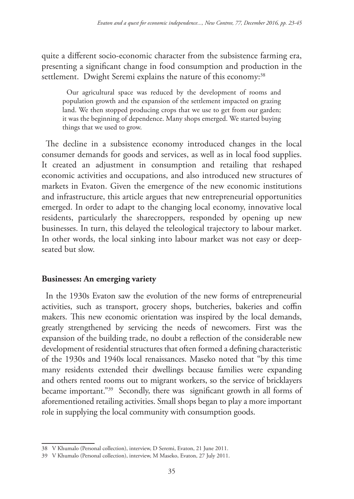quite a different socio-economic character from the subsistence farming era, presenting a significant change in food consumption and production in the settlement. Dwight Seremi explains the nature of this economy:<sup>38</sup>

Our agricultural space was reduced by the development of rooms and population growth and the expansion of the settlement impacted on grazing land. We then stopped producing crops that we use to get from our garden; it was the beginning of dependence. Many shops emerged. We started buying things that we used to grow.

The decline in a subsistence economy introduced changes in the local consumer demands for goods and services, as well as in local food supplies. It created an adjustment in consumption and retailing that reshaped economic activities and occupations, and also introduced new structures of markets in Evaton. Given the emergence of the new economic institutions and infrastructure, this article argues that new entrepreneurial opportunities emerged. In order to adapt to the changing local economy, innovative local residents, particularly the sharecroppers, responded by opening up new businesses. In turn, this delayed the teleological trajectory to labour market. In other words, the local sinking into labour market was not easy or deepseated but slow.

## **Businesses: An emerging variety**

In the 1930s Evaton saw the evolution of the new forms of entrepreneurial activities, such as transport, grocery shops, butcheries, bakeries and coffin makers. This new economic orientation was inspired by the local demands, greatly strengthened by servicing the needs of newcomers. First was the expansion of the building trade, no doubt a reflection of the considerable new development of residential structures that often formed a defining characteristic of the 1930s and 1940s local renaissances. Maseko noted that "by this time many residents extended their dwellings because families were expanding and others rented rooms out to migrant workers, so the service of bricklayers became important."39 Secondly, there was significant growth in all forms of aforementioned retailing activities. Small shops began to play a more important role in supplying the local community with consumption goods.

<sup>38</sup> V Khumalo (Personal collection), interview, D Seremi, Evaton, 21 June 2011.

<sup>39</sup> V Khumalo (Personal collection), interview, M Maseko, Evaton, 27 July 2011.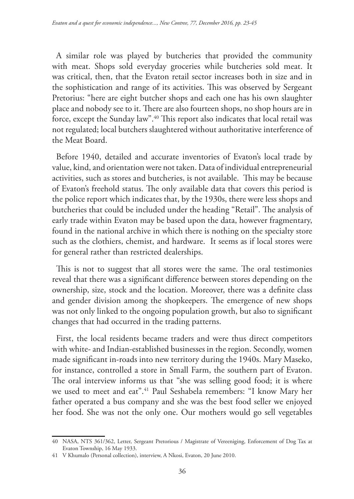A similar role was played by butcheries that provided the community with meat. Shops sold everyday groceries while butcheries sold meat. It was critical, then, that the Evaton retail sector increases both in size and in the sophistication and range of its activities. This was observed by Sergeant Pretorius: "here are eight butcher shops and each one has his own slaughter place and nobody see to it. There are also fourteen shops, no shop hours are in force, except the Sunday law".40 This report also indicates that local retail was not regulated; local butchers slaughtered without authoritative interference of the Meat Board.

Before 1940, detailed and accurate inventories of Evaton's local trade by value, kind, and orientation were not taken. Data of individual entrepreneurial activities, such as stores and butcheries, is not available. This may be because of Evaton's freehold status. The only available data that covers this period is the police report which indicates that, by the 1930s, there were less shops and butcheries that could be included under the heading "Retail". The analysis of early trade within Evaton may be based upon the data, however fragmentary, found in the national archive in which there is nothing on the specialty store such as the clothiers, chemist, and hardware. It seems as if local stores were for general rather than restricted dealerships.

This is not to suggest that all stores were the same. The oral testimonies reveal that there was a significant difference between stores depending on the ownership, size, stock and the location. Moreover, there was a definite class and gender division among the shopkeepers. The emergence of new shops was not only linked to the ongoing population growth, but also to significant changes that had occurred in the trading patterns.

First, the local residents became traders and were thus direct competitors with white- and Indian-established businesses in the region. Secondly, women made significant in-roads into new territory during the 1940s. Mary Maseko, for instance, controlled a store in Small Farm, the southern part of Evaton. The oral interview informs us that "she was selling good food; it is where we used to meet and eat".41 Paul Seshabela remembers: "I know Mary her father operated a bus company and she was the best food seller we enjoyed her food. She was not the only one. Our mothers would go sell vegetables

<sup>40</sup> NASA, NTS 361/362, Letter, Sergeant Pretorious / Magistrate of Vereeniging, Enforcement of Dog Tax at Evaton Township, 16 May 1933.

<sup>41</sup> V Khumalo (Personal collection), interview, A Nkosi, Evaton, 20 June 2010.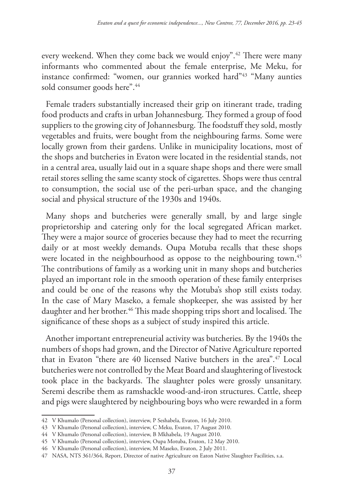every weekend. When they come back we would enjoy".42 There were many informants who commented about the female enterprise, Me Meku, for instance confirmed: "women, our grannies worked hard"<sup>43</sup> "Many aunties sold consumer goods here".<sup>44</sup>

Female traders substantially increased their grip on itinerant trade, trading food products and crafts in urban Johannesburg. They formed a group of food suppliers to the growing city of Johannesburg. The foodstuff they sold, mostly vegetables and fruits, were bought from the neighbouring farms. Some were locally grown from their gardens. Unlike in municipality locations, most of the shops and butcheries in Evaton were located in the residential stands, not in a central area, usually laid out in a square shape shops and there were small retail stores selling the same scanty stock of cigarettes. Shops were thus central to consumption, the social use of the peri-urban space, and the changing social and physical structure of the 1930s and 1940s.

Many shops and butcheries were generally small, by and large single proprietorship and catering only for the local segregated African market. They were a major source of groceries because they had to meet the recurring daily or at most weekly demands. Oupa Motuba recalls that these shops were located in the neighbourhood as oppose to the neighbouring town.<sup>45</sup> The contributions of family as a working unit in many shops and butcheries played an important role in the smooth operation of these family enterprises and could be one of the reasons why the Motuba's shop still exists today. In the case of Mary Maseko, a female shopkeeper, she was assisted by her daughter and her brother.<sup>46</sup> This made shopping trips short and localised. The significance of these shops as a subject of study inspired this article.

Another important entrepreneurial activity was butcheries. By the 1940s the numbers of shops had grown, and the Director of Native Agriculture reported that in Evaton "there are 40 licensed Native butchers in the area".47 Local butcheries were not controlled by the Meat Board and slaughtering of livestock took place in the backyards. The slaughter poles were grossly unsanitary. Seremi describe them as ramshackle wood-and-iron structures. Cattle, sheep and pigs were slaughtered by neighbouring boys who were rewarded in a form

<sup>42</sup> V Khumalo (Personal collection), interview, P Seshabela, Evaton, 16 July 2010.

<sup>43</sup> V Khumalo (Personal collection), interview, C Meku, Evaton, 17 August 2010.

<sup>44</sup> V Khumalo (Personal collection), interview, B Mkhabela, 19 August 2010.

<sup>45</sup> V Khumalo (Personal collection), interview, Oupa Motuba, Evaton, 12 May 2010.

<sup>46</sup> V Khumalo (Personal collection), interview, M Maseko, Evaton, 2 July 2011.

<sup>47</sup> NASA, NTS 361/364, Report, Director of native Agriculture on Eaton Native Slaughter Facilities, s.a.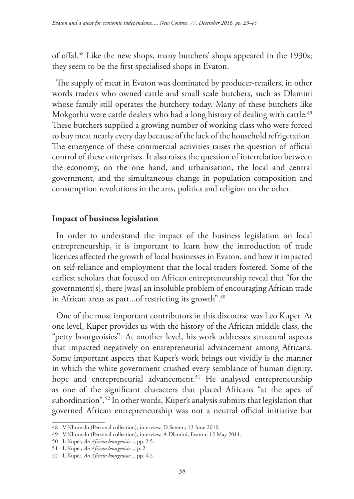of offal.48 Like the new shops, many butchers' shops appeared in the 1930s; they seem to be the first specialised shops in Evaton.

The supply of meat in Evaton was dominated by producer-retailers, in other words traders who owned cattle and small scale butchers, such as Dlamini whose family still operates the butchery today. Many of these butchers like Mokgothu were cattle dealers who had a long history of dealing with cattle.<sup>49</sup> These butchers supplied a growing number of working class who were forced to buy meat nearly every day because of the lack of the household refrigeration. The emergence of these commercial activities raises the question of official control of these enterprises. It also raises the question of interrelation between the economy, on the one hand, and urbanisation, the local and central government, and the simultaneous change in population composition and consumption revolutions in the arts, politics and religion on the other.

#### **Impact of business legislation**

In order to understand the impact of the business legislation on local entrepreneurship, it is important to learn how the introduction of trade licences affected the growth of local businesses in Evaton, and how it impacted on self-reliance and employment that the local traders fostered. Some of the earliest scholars that focused on African entrepreneurship reveal that "for the government[s], there [was] an insoluble problem of encouraging African trade in African areas as part...of restricting its growth".<sup>50</sup>

One of the most important contributors in this discourse was Leo Kuper. At one level, Kuper provides us with the history of the African middle class, the "petty bourgeoisies". At another level, his work addresses structural aspects that impacted negatively on entrepreneurial advancement among Africans. Some important aspects that Kuper's work brings out vividly is the manner in which the white government crushed every semblance of human dignity, hope and entrepreneurial advancement.<sup>51</sup> He analysed entrepreneurship as one of the significant characters that placed Africans "at the apex of subordination".52 In other words, Kuper's analysis submits that legislation that governed African entrepreneurship was not a neutral official initiative but

<sup>48</sup> V Khumalo (Personal collection), interview, D Seremi, 13 June 2010.

<sup>49</sup> V Khumalo (Personal collection), interview, A Dlamini, Evaton, 12 May 2011.

<sup>50</sup> L Kuper, *An African bourgeoisie...*, pp. 2-5.

<sup>51</sup> L Kuper, *An African bourgeoisie...*, p. 2.

<sup>52</sup> L Kuper, *An African bourgeoisie...,* pp. 4-5.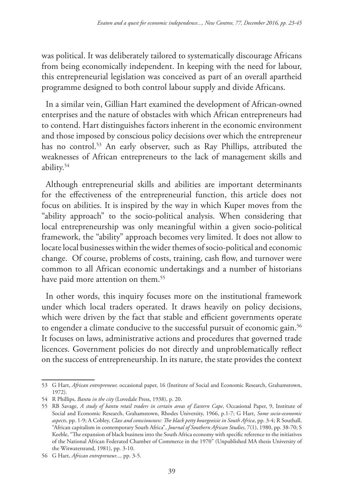was political. It was deliberately tailored to systematically discourage Africans from being economically independent. In keeping with the need for labour, this entrepreneurial legislation was conceived as part of an overall apartheid programme designed to both control labour supply and divide Africans.

In a similar vein, Gillian Hart examined the development of African-owned enterprises and the nature of obstacles with which African entrepreneurs had to contend. Hart distinguishes factors inherent in the economic environment and those imposed by conscious policy decisions over which the entrepreneur has no control.<sup>53</sup> An early observer, such as Ray Phillips, attributed the weaknesses of African entrepreneurs to the lack of management skills and ability.54

Although entrepreneurial skills and abilities are important determinants for the effectiveness of the entrepreneurial function, this article does not focus on abilities. It is inspired by the way in which Kuper moves from the "ability approach" to the socio-political analysis. When considering that local entrepreneurship was only meaningful within a given socio-political framework, the "ability" approach becomes very limited. It does not allow to locate local businesses within the wider themes of socio-political and economic change. Of course, problems of costs, training, cash flow, and turnover were common to all African economic undertakings and a number of historians have paid more attention on them.<sup>55</sup>

In other words, this inquiry focuses more on the institutional framework under which local traders operated. It draws heavily on policy decisions, which were driven by the fact that stable and efficient governments operate to engender a climate conducive to the successful pursuit of economic gain.<sup>56</sup> It focuses on laws, administrative actions and procedures that governed trade licences. Government policies do not directly and unproblematically reflect on the success of entrepreneurship. In its nature, the state provides the context

<sup>53</sup> G Hart, *African entrepreneur,* occasional paper, 16 (Institute of Social and Economic Research, Grahamstown, 1972).

<sup>54</sup> R Phillips, *Bantu in the city* (Lovedale Press, 1938), p. 20.

<sup>55</sup> RB Savage, *A study of bantu retail traders in certain areas of Eastern Cape*, Occasional Paper, 9, Institute of Social and Economic Research, Grahamstown, Rhodes University, 1966, p.1-7; G Hart, *Some socio-economic aspects*, pp. 1-9; A Cobley, *Class and consciousness: The black petty bourgeoisie in South Africa*, pp. 3-4; R Southall, "African capitalism in contemporary South Africa", *Journal of Southern African Studies*, 7(1), 1980, pp. 38-70; S Keeble, "The expansion of black business into the South Africa economy with specific reference to the initiatives of the National African Federated Chamber of Commerce in the 1970" (Unpublished MA thesis University of the Witwatersrand, 1981), pp. 3-10.

<sup>56</sup> G Hart, *African entrepreneur...,* pp. 3-5.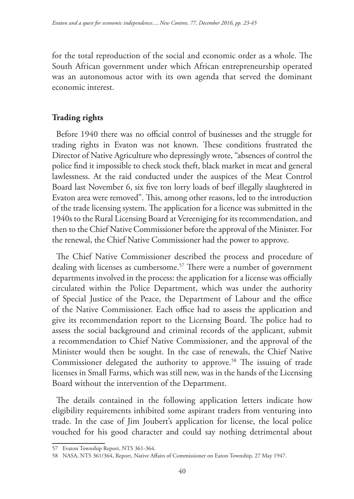for the total reproduction of the social and economic order as a whole. The South African government under which African entrepreneurship operated was an autonomous actor with its own agenda that served the dominant economic interest.

# **Trading rights**

Before 1940 there was no official control of businesses and the struggle for trading rights in Evaton was not known. These conditions frustrated the Director of Native Agriculture who depressingly wrote, "absences of control the police find it impossible to check stock theft, black market in meat and general lawlessness. At the raid conducted under the auspices of the Meat Control Board last November 6, six five ton lorry loads of beef illegally slaughtered in Evaton area were removed". This, among other reasons, led to the introduction of the trade licensing system. The application for a licence was submitted in the 1940s to the Rural Licensing Board at Vereeniging for its recommendation, and then to the Chief Native Commissioner before the approval of the Minister. For the renewal, the Chief Native Commissioner had the power to approve.

The Chief Native Commissioner described the process and procedure of dealing with licenses as cumbersome.<sup>57</sup> There were a number of government departments involved in the process: the application for a license was officially circulated within the Police Department, which was under the authority of Special Justice of the Peace, the Department of Labour and the office of the Native Commissioner. Each office had to assess the application and give its recommendation report to the Licensing Board. The police had to assess the social background and criminal records of the applicant, submit a recommendation to Chief Native Commissioner, and the approval of the Minister would then be sought. In the case of renewals, the Chief Native Commissioner delegated the authority to approve.<sup>58</sup> The issuing of trade licenses in Small Farms, which was still new, was in the hands of the Licensing Board without the intervention of the Department.

The details contained in the following application letters indicate how eligibility requirements inhibited some aspirant traders from venturing into trade. In the case of Jim Joubert's application for license, the local police vouched for his good character and could say nothing detrimental about

<sup>57</sup> Evaton Township Report, NTS 361-364.

<sup>58</sup> NASA, NTS 361/364, Report, Native Affairs of Commissioner on Eaton Township, 27 May 1947.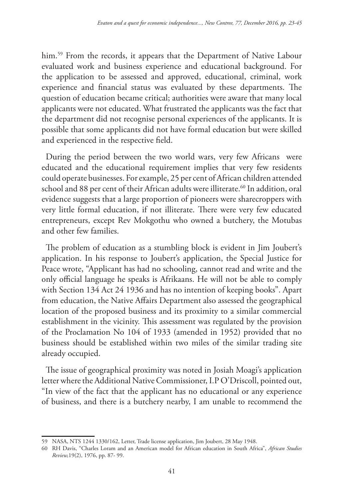him.<sup>59</sup> From the records, it appears that the Department of Native Labour evaluated work and business experience and educational background. For the application to be assessed and approved, educational, criminal, work experience and financial status was evaluated by these departments. The question of education became critical; authorities were aware that many local applicants were not educated. What frustrated the applicants was the fact that the department did not recognise personal experiences of the applicants. It is possible that some applicants did not have formal education but were skilled and experienced in the respective field.

During the period between the two world wars, very few Africans were educated and the educational requirement implies that very few residents could operate businesses. For example, 25 per cent of African children attended school and 88 per cent of their African adults were illiterate.<sup>60</sup> In addition, oral evidence suggests that a large proportion of pioneers were sharecroppers with very little formal education, if not illiterate. There were very few educated entrepreneurs, except Rev Mokgothu who owned a butchery, the Motubas and other few families.

The problem of education as a stumbling block is evident in Jim Joubert's application. In his response to Joubert's application, the Special Justice for Peace wrote, "Applicant has had no schooling, cannot read and write and the only official language he speaks is Afrikaans. He will not be able to comply with Section 134 Act 24 1936 and has no intention of keeping books". Apart from education, the Native Affairs Department also assessed the geographical location of the proposed business and its proximity to a similar commercial establishment in the vicinity. This assessment was regulated by the provision of the Proclamation No 104 of 1933 (amended in 1952) provided that no business should be established within two miles of the similar trading site already occupied.

The issue of geographical proximity was noted in Josiah Moagi's application letter where the Additional Native Commissioner, I.P O'Driscoll, pointed out, "In view of the fact that the applicant has no educational or any experience of business, and there is a butchery nearby, I am unable to recommend the

<sup>59</sup> NASA, NTS 1244 1330/162, Letter, Trade license application, Jim Joubert, 28 May 1948.

<sup>60</sup> RH Davis, "Charles Loram and an American model for African education in South Africa", *African Studies Review,*19(2), 1976, pp. 87- 99.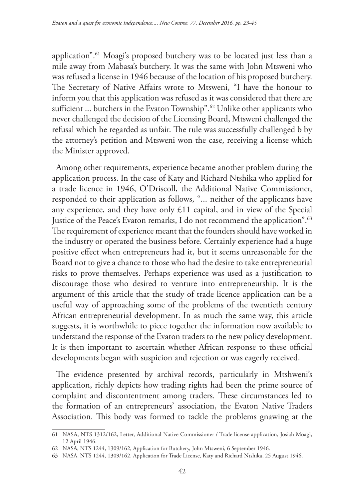application".61 Moagi's proposed butchery was to be located just less than a mile away from Mabasa's butchery. It was the same with John Mtsweni who was refused a license in 1946 because of the location of his proposed butchery. The Secretary of Native Affairs wrote to Mtsweni, "I have the honour to inform you that this application was refused as it was considered that there are sufficient ... butchers in the Evaton Township".<sup>62</sup> Unlike other applicants who never challenged the decision of the Licensing Board, Mtsweni challenged the refusal which he regarded as unfair. The rule was successfully challenged b by the attorney's petition and Mtsweni won the case, receiving a license which the Minister approved.

Among other requirements, experience became another problem during the application process. In the case of Katy and Richard Ntshika who applied for a trade licence in 1946, O'Driscoll, the Additional Native Commissioner, responded to their application as follows, "... neither of the applicants have any experience, and they have only £11 capital, and in view of the Special Justice of the Peace's Evaton remarks, I do not recommend the application".<sup>63</sup> The requirement of experience meant that the founders should have worked in the industry or operated the business before. Certainly experience had a huge positive effect when entrepreneurs had it, but it seems unreasonable for the Board not to give a chance to those who had the desire to take entrepreneurial risks to prove themselves. Perhaps experience was used as a justification to discourage those who desired to venture into entrepreneurship. It is the argument of this article that the study of trade licence application can be a useful way of approaching some of the problems of the twentieth century African entrepreneurial development. In as much the same way, this article suggests, it is worthwhile to piece together the information now available to understand the response of the Evaton traders to the new policy development. It is then important to ascertain whether African response to these official developments began with suspicion and rejection or was eagerly received.

The evidence presented by archival records, particularly in Mtshweni's application, richly depicts how trading rights had been the prime source of complaint and discontentment among traders. These circumstances led to the formation of an entrepreneurs' association, the Evaton Native Traders Association. This body was formed to tackle the problems gnawing at the

<sup>61</sup> NASA, NTS 1312/162, Letter, Additional Native Commissioner / Trade license application, Josiah Moagi, 12 April 1946.

<sup>62</sup> NASA, NTS 1244, 1309/162, Application for Butchery, John Mtsweni, 6 September 1946.

<sup>63</sup> NASA, NTS 1244, 1309/162, Application for Trade License, Katy and Richard Ntshika, 25 August 1946.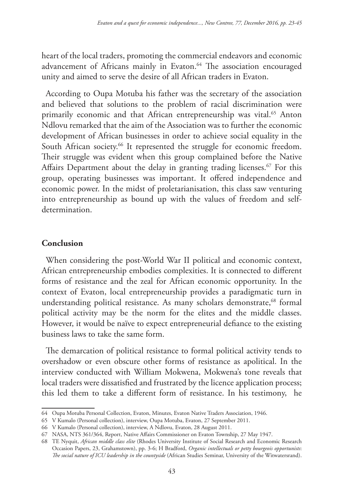heart of the local traders, promoting the commercial endeavors and economic advancement of Africans mainly in Evaton.<sup>64</sup> The association encouraged unity and aimed to serve the desire of all African traders in Evaton.

According to Oupa Motuba his father was the secretary of the association and believed that solutions to the problem of racial discrimination were primarily economic and that African entrepreneurship was vital.<sup>65</sup> Anton Ndlovu remarked that the aim of the Association was to further the economic development of African businesses in order to achieve social equality in the South African society.<sup>66</sup> It represented the struggle for economic freedom. Their struggle was evident when this group complained before the Native Affairs Department about the delay in granting trading licenses.<sup>67</sup> For this group, operating businesses was important. It offered independence and economic power. In the midst of proletarianisation, this class saw venturing into entrepreneurship as bound up with the values of freedom and selfdetermination.

## **Conclusion**

When considering the post-World War II political and economic context, African entrepreneurship embodies complexities. It is connected to different forms of resistance and the zeal for African economic opportunity. In the context of Evaton, local entrepreneurship provides a paradigmatic turn in understanding political resistance. As many scholars demonstrate,<sup>68</sup> formal political activity may be the norm for the elites and the middle classes. However, it would be naïve to expect entrepreneurial defiance to the existing business laws to take the same form.

The demarcation of political resistance to formal political activity tends to overshadow or even obscure other forms of resistance as apolitical. In the interview conducted with William Mokwena, Mokwena's tone reveals that local traders were dissatisfied and frustrated by the licence application process; this led them to take a different form of resistance. In his testimony, he

<sup>64</sup> Oupa Motuba Personal Collection, Evaton, Minutes, Evaton Native Traders Association, 1946.

<sup>65</sup> V Kumalo (Personal collection), interview, Oupa Motuba, Evaton, 27 September 2011.

<sup>66</sup> V Kumalo (Personal collection), interview, A Ndlovu, Evaton, 28 August 2011.

<sup>67</sup> NASA, NTS 361/364, Report, Native Affairs Commissioner on Evaton Township, 27 May 1947.

<sup>68</sup> TE Nyquit, *African middle class elite* (Rhodes University Institute of Social Research and Economic Research Occasion Papers, 23, Grahamstown), pp. 3-6; H Bradford, *Organic intellectuals or petty bourgeois opportunists*: *The social nature of ICU leadership in the countyside* (African Studies Seminar, University of the Witwatersrand).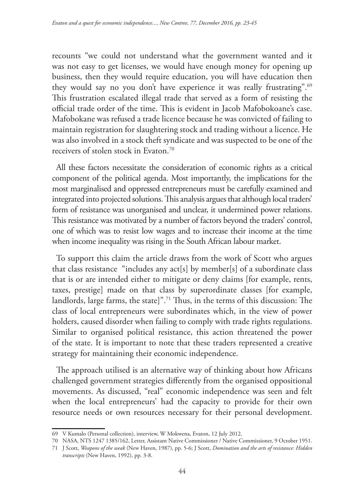recounts "we could not understand what the government wanted and it was not easy to get licenses, we would have enough money for opening up business, then they would require education, you will have education then they would say no you don't have experience it was really frustrating".<sup>69</sup> This frustration escalated illegal trade that served as a form of resisting the official trade order of the time. This is evident in Jacob Mafobokoane's case. Mafobokane was refused a trade licence because he was convicted of failing to maintain registration for slaughtering stock and trading without a licence. He was also involved in a stock theft syndicate and was suspected to be one of the receivers of stolen stock in Evaton.70

All these factors necessitate the consideration of economic rights as a critical component of the political agenda. Most importantly, the implications for the most marginalised and oppressed entrepreneurs must be carefully examined and integrated into projected solutions. This analysis argues that although local traders' form of resistance was unorganised and unclear, it undermined power relations. This resistance was motivated by a number of factors beyond the traders' control, one of which was to resist low wages and to increase their income at the time when income inequality was rising in the South African labour market.

To support this claim the article draws from the work of Scott who argues that class resistance "includes any act[s] by member[s] of a subordinate class that is or are intended either to mitigate or deny claims [for example, rents, taxes, prestige] made on that class by superordinate classes [for example, landlords, large farms, the state]".71 Thus, in the terms of this discussion: The class of local entrepreneurs were subordinates which, in the view of power holders, caused disorder when failing to comply with trade rights regulations. Similar to organised political resistance, this action threatened the power of the state. It is important to note that these traders represented a creative strategy for maintaining their economic independence.

The approach utilised is an alternative way of thinking about how Africans challenged government strategies differently from the organised oppositional movements. As discussed, "real" economic independence was seen and felt when the local entrepreneurs' had the capacity to provide for their own resource needs or own resources necessary for their personal development.

<sup>69</sup> V Kumalo (Personal collection), interview, W Mokwena, Evaton, 12 July 2012.

<sup>70</sup> NASA, NTS 1247 1385/162, Letter, Assistant Native Commissioner / Native Commissioner, 9 October 1951.

<sup>71</sup> J Scott, *Weapons of the weak* (New Haven, 1987), pp. 5-6; J Scott, *Domination and the arts of resistance: Hidden transcripts* (New Haven, 1992), pp. 3-8.